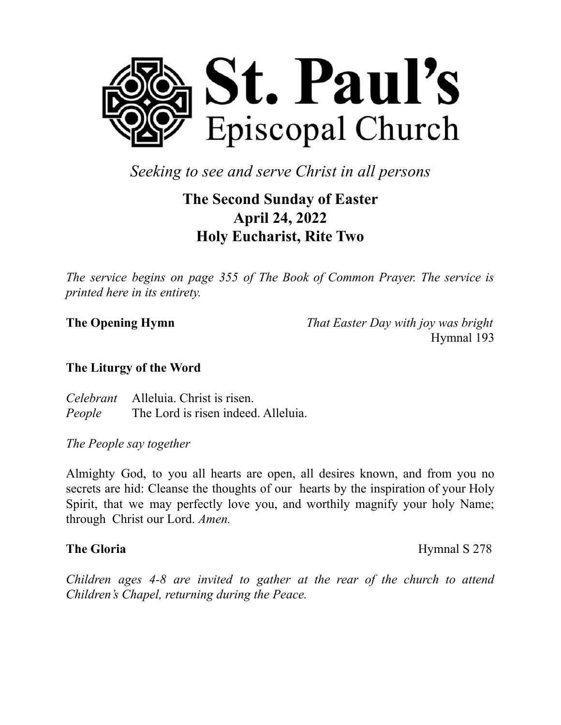

*Seeking to see and serve Christ in all persons*

# **The Second Sunday of Easter April 24, 2022 Holy Eucharist, Rite Two**

*The service begins on page 355 of The Book of Common Prayer. The service is printed here in its entirety.*

**The Opening Hymn** *That Easter Day with joy was bright* Hymnal 193

#### **The Liturgy of the Word**

*Celebrant* Alleluia. Christ is risen. *People* The Lord is risen indeed. Alleluia.

*The People say together*

Almighty God, to you all hearts are open, all desires known, and from you no secrets are hid: Cleanse the thoughts of our hearts by the inspiration of your Holy Spirit, that we may perfectly love you, and worthily magnify your holy Name; through Christ our Lord. *Amen.*

**The Gloria** Hymnal S 278

*Children ages 4-8 are invited to gather at the rear of the church to attend Children's Chapel, returning during the Peace.*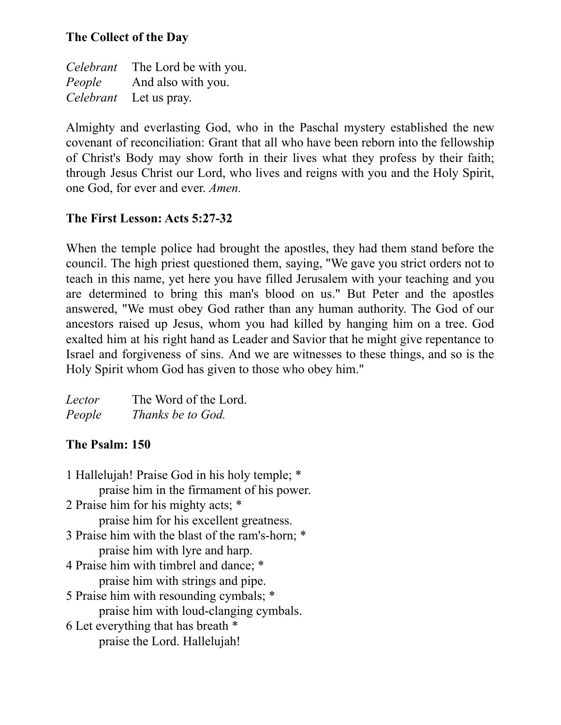### **The Collect of the Day**

*Celebrant* The Lord be with you. *People* And also with you. *Celebrant* Let us pray.

Almighty and everlasting God, who in the Paschal mystery established the new covenant of reconciliation: Grant that all who have been reborn into the fellowship of Christ's Body may show forth in their lives what they profess by their faith; through Jesus Christ our Lord, who lives and reigns with you and the Holy Spirit, one God, for ever and ever. *Amen.*

# **The First Lesson: Acts 5:27-32**

When the temple police had brought the apostles, they had them stand before the council. The high priest questioned them, saying, "We gave you strict orders not to teach in this name, yet here you have filled Jerusalem with your teaching and you are determined to bring this man's blood on us." But Peter and the apostles answered, "We must obey God rather than any human authority. The God of our ancestors raised up Jesus, whom you had killed by hanging him on a tree. God exalted him at his right hand as Leader and Savior that he might give repentance to Israel and forgiveness of sins. And we are witnesses to these things, and so is the Holy Spirit whom God has given to those who obey him."

| Lector | The Word of the Lord. |
|--------|-----------------------|
| People | Thanks be to God.     |

# **The Psalm: 150**

1 Hallelujah! Praise God in his holy temple; \* praise him in the firmament of his power. 2 Praise him for his mighty acts; \* praise him for his excellent greatness. 3 Praise him with the blast of the ram's-horn; \* praise him with lyre and harp. 4 Praise him with timbrel and dance; \* praise him with strings and pipe. 5 Praise him with resounding cymbals; \* praise him with loud-clanging cymbals. 6 Let everything that has breath \* praise the Lord. Hallelujah!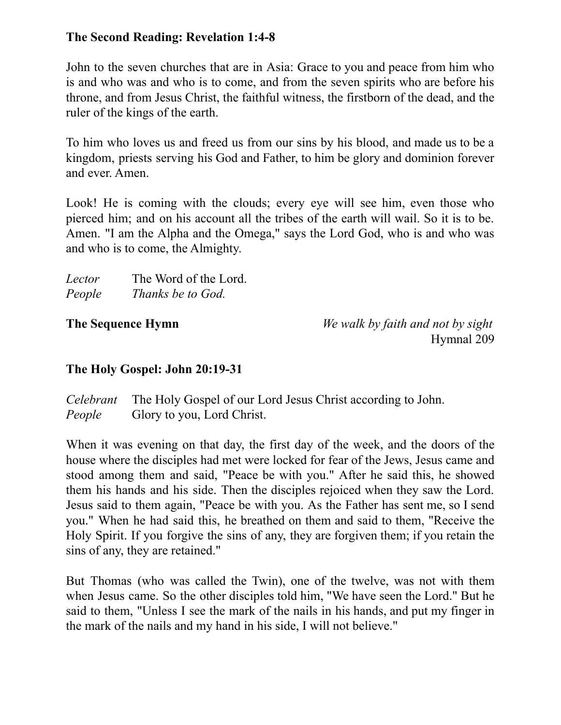#### **The Second Reading: Revelation 1:4-8**

John to the seven churches that are in Asia: Grace to you and peace from him who is and who was and who is to come, and from the seven spirits who are before his throne, and from Jesus Christ, the faithful witness, the firstborn of the dead, and the ruler of the kings of the earth.

To him who loves us and freed us from our sins by his blood, and made us to be a kingdom, priests serving his God and Father, to him be glory and dominion forever and ever. Amen.

Look! He is coming with the clouds; every eye will see him, even those who pierced him; and on his account all the tribes of the earth will wail. So it is to be. Amen. "I am the Alpha and the Omega," says the Lord God, who is and who was and who is to come, the Almighty.

| Lector | The Word of the Lord. |
|--------|-----------------------|
| People | Thanks be to God.     |

**The Sequence Hymn** *We walk by faith and not by sight* Hymnal 209

### **The Holy Gospel: John 20:19-31**

*Celebrant* The Holy Gospel of our Lord Jesus Christ according to John. *People* Glory to you, Lord Christ.

When it was evening on that day, the first day of the week, and the doors of the house where the disciples had met were locked for fear of the Jews, Jesus came and stood among them and said, "Peace be with you." After he said this, he showed them his hands and his side. Then the disciples rejoiced when they saw the Lord. Jesus said to them again, "Peace be with you. As the Father has sent me, so I send you." When he had said this, he breathed on them and said to them, "Receive the Holy Spirit. If you forgive the sins of any, they are forgiven them; if you retain the sins of any, they are retained."

But Thomas (who was called the Twin), one of the twelve, was not with them when Jesus came. So the other disciples told him, "We have seen the Lord." But he said to them, "Unless I see the mark of the nails in his hands, and put my finger in the mark of the nails and my hand in his side, I will not believe."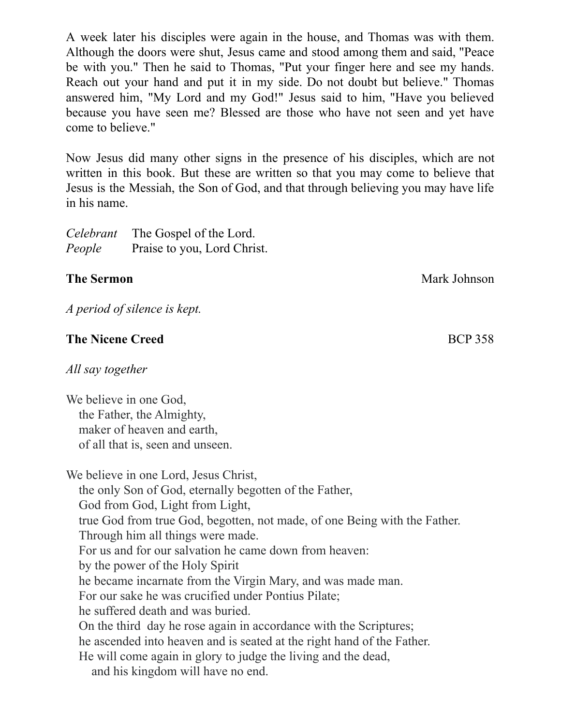A week later his disciples were again in the house, and Thomas was with them. Although the doors were shut, Jesus came and stood among them and said, "Peace be with you." Then he said to Thomas, "Put your finger here and see my hands. Reach out your hand and put it in my side. Do not doubt but believe." Thomas answered him, "My Lord and my God!" Jesus said to him, "Have you believed because you have seen me? Blessed are those who have not seen and yet have come to believe."

Now Jesus did many other signs in the presence of his disciples, which are not written in this book. But these are written so that you may come to believe that Jesus is the Messiah, the Son of God, and that through believing you may have life in his name.

| Celebrant | The Gospel of the Lord.     |
|-----------|-----------------------------|
| People    | Praise to you, Lord Christ. |

*A period of silence is kept.*

## **The Nicene Creed** BCP 358

*All say together*

We believe in one God, the Father, the Almighty, maker of heaven and earth, of all that is, seen and unseen.

We believe in one Lord, Jesus Christ, the only Son of God, eternally begotten of the Father, God from God, Light from Light, true God from true God, begotten, not made, of one Being with the Father. Through him all things were made. For us and for our salvation he came down from heaven: by the power of the Holy Spirit he became incarnate from the Virgin Mary, and was made man. For our sake he was crucified under Pontius Pilate; he suffered death and was buried. On the third day he rose again in accordance with the Scriptures; he ascended into heaven and is seated at the right hand of the Father. He will come again in glory to judge the living and the dead, and his kingdom will have no end.

**The Sermon** Mark Johnson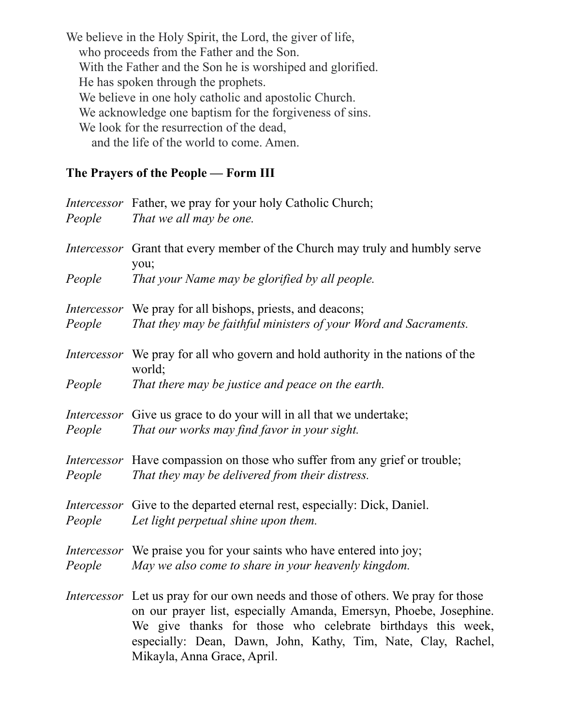We believe in the Holy Spirit, the Lord, the giver of life, who proceeds from the Father and the Son. With the Father and the Son he is worshiped and glorified. He has spoken through the prophets. We believe in one holy catholic and apostolic Church. We acknowledge one baptism for the forgiveness of sins. We look for the resurrection of the dead, and the life of the world to come. Amen.

## **The Prayers of the People — Form III**

| People | <i>Intercessor</i> Father, we pray for your holy Catholic Church;<br>That we all may be one.                                                                                                                                                                                                                                 |
|--------|------------------------------------------------------------------------------------------------------------------------------------------------------------------------------------------------------------------------------------------------------------------------------------------------------------------------------|
|        | Intercessor Grant that every member of the Church may truly and humbly serve<br>you;                                                                                                                                                                                                                                         |
| People | That your Name may be glorified by all people.                                                                                                                                                                                                                                                                               |
| People | <i>Intercessor</i> We pray for all bishops, priests, and deacons;<br>That they may be faithful ministers of your Word and Sacraments.                                                                                                                                                                                        |
|        | <i>Intercessor</i> We pray for all who govern and hold authority in the nations of the<br>world;                                                                                                                                                                                                                             |
| People | That there may be justice and peace on the earth.                                                                                                                                                                                                                                                                            |
| People | <i>Intercessor</i> Give us grace to do your will in all that we undertake;<br>That our works may find favor in your sight.                                                                                                                                                                                                   |
| People | <i>Intercessor</i> Have compassion on those who suffer from any grief or trouble;<br>That they may be delivered from their distress.                                                                                                                                                                                         |
| People | <i>Intercessor</i> Give to the departed eternal rest, especially: Dick, Daniel.<br>Let light perpetual shine upon them.                                                                                                                                                                                                      |
| People | <i>Intercessor</i> We praise you for your saints who have entered into joy;<br>May we also come to share in your heavenly kingdom.                                                                                                                                                                                           |
|        | <i>Intercessor</i> Let us pray for our own needs and those of others. We pray for those<br>on our prayer list, especially Amanda, Emersyn, Phoebe, Josephine.<br>We give thanks for those who celebrate birthdays this week,<br>especially: Dean, Dawn, John, Kathy, Tim, Nate, Clay, Rachel,<br>Mikayla, Anna Grace, April. |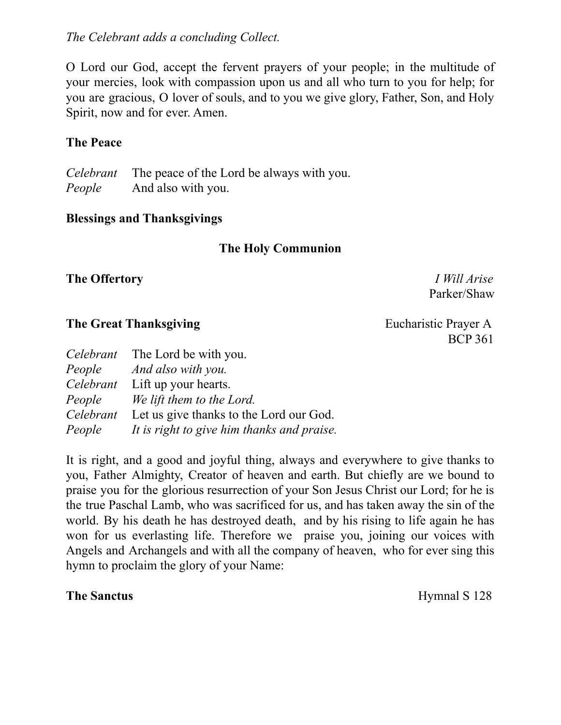#### *The Celebrant adds a concluding Collect.*

O Lord our God, accept the fervent prayers of your people; in the multitude of your mercies, look with compassion upon us and all who turn to you for help; for you are gracious, O lover of souls, and to you we give glory, Father, Son, and Holy Spirit, now and for ever. Amen.

#### **The Peace**

|        | <i>Celebrant</i> The peace of the Lord be always with you. |
|--------|------------------------------------------------------------|
| People | And also with you.                                         |

#### **Blessings and Thanksgivings**

#### **The Holy Communion**

#### **The Offertory** *I Will Arise*

Parker/Shaw

### **The Great Thanksgiving** Eucharistic Prayer A

BCP 361

|           | <i>Celebrant</i> The Lord be with you.     |
|-----------|--------------------------------------------|
|           | People And also with you.                  |
|           | <i>Celebrant</i> Lift up your hearts.      |
|           | People We lift them to the Lord.           |
| Celebrant | Let us give thanks to the Lord our God.    |
| People    | It is right to give him thanks and praise. |

It is right, and a good and joyful thing, always and everywhere to give thanks to you, Father Almighty, Creator of heaven and earth. But chiefly are we bound to praise you for the glorious resurrection of your Son Jesus Christ our Lord; for he is the true Paschal Lamb, who was sacrificed for us, and has taken away the sin of the world. By his death he has destroyed death, and by his rising to life again he has won for us everlasting life. Therefore we praise you, joining our voices with Angels and Archangels and with all the company of heaven, who for ever sing this hymn to proclaim the glory of your Name:

**The Sanctus** Hymnal S 128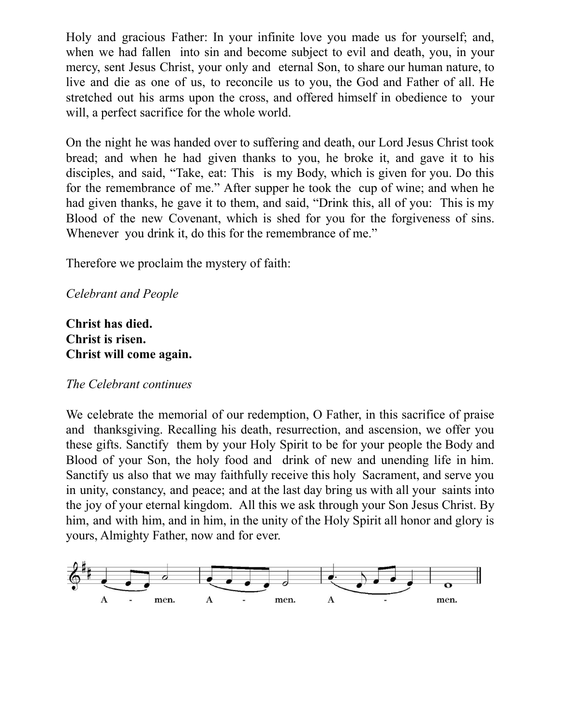Holy and gracious Father: In your infinite love you made us for yourself; and, when we had fallen into sin and become subject to evil and death, you, in your mercy, sent Jesus Christ, your only and eternal Son, to share our human nature, to live and die as one of us, to reconcile us to you, the God and Father of all. He stretched out his arms upon the cross, and offered himself in obedience to your will, a perfect sacrifice for the whole world.

On the night he was handed over to suffering and death, our Lord Jesus Christ took bread; and when he had given thanks to you, he broke it, and gave it to his disciples, and said, "Take, eat: This is my Body, which is given for you. Do this for the remembrance of me." After supper he took the cup of wine; and when he had given thanks, he gave it to them, and said, "Drink this, all of you: This is my Blood of the new Covenant, which is shed for you for the forgiveness of sins. Whenever you drink it, do this for the remembrance of me."

Therefore we proclaim the mystery of faith:

*Celebrant and People*

**Christ has died. Christ is risen. Christ will come again.**

#### *The Celebrant continues*

We celebrate the memorial of our redemption, O Father, in this sacrifice of praise and thanksgiving. Recalling his death, resurrection, and ascension, we offer you these gifts. Sanctify them by your Holy Spirit to be for your people the Body and Blood of your Son, the holy food and drink of new and unending life in him. Sanctify us also that we may faithfully receive this holy Sacrament, and serve you in unity, constancy, and peace; and at the last day bring us with all your saints into the joy of your eternal kingdom. All this we ask through your Son Jesus Christ. By him, and with him, and in him, in the unity of the Holy Spirit all honor and glory is yours, Almighty Father, now and for ever.

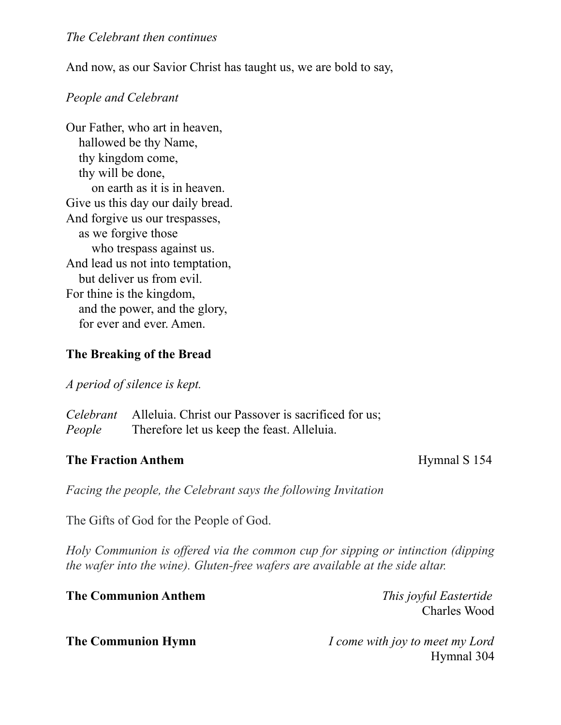#### *The Celebrant then continues*

And now, as our Savior Christ has taught us, we are bold to say,

#### *People and Celebrant*

Our Father, who art in heaven, hallowed be thy Name, thy kingdom come, thy will be done, on earth as it is in heaven. Give us this day our daily bread. And forgive us our trespasses, as we forgive those who trespass against us. And lead us not into temptation, but deliver us from evil. For thine is the kingdom, and the power, and the glory, for ever and ever. Amen.

#### **The Breaking of the Bread**

*A period of silence is kept.*

*Celebrant* Alleluia. Christ our Passover is sacrificed for us; *People* Therefore let us keep the feast. Alleluia.

#### **The Fraction Anthem** Hymnal S 154

*Facing the people, the Celebrant says the following Invitation*

The Gifts of God for the People of God.

*Holy Communion is of ered via the common cup for sipping or intinction (dipping the wafer into the wine). Gluten-free wafers are available at the side altar.*

**The Communion Anthem** *This joyful Eastertide*

Charles Wood

**The Communion Hymn** *I come with joy to meet my Lord* Hymnal 304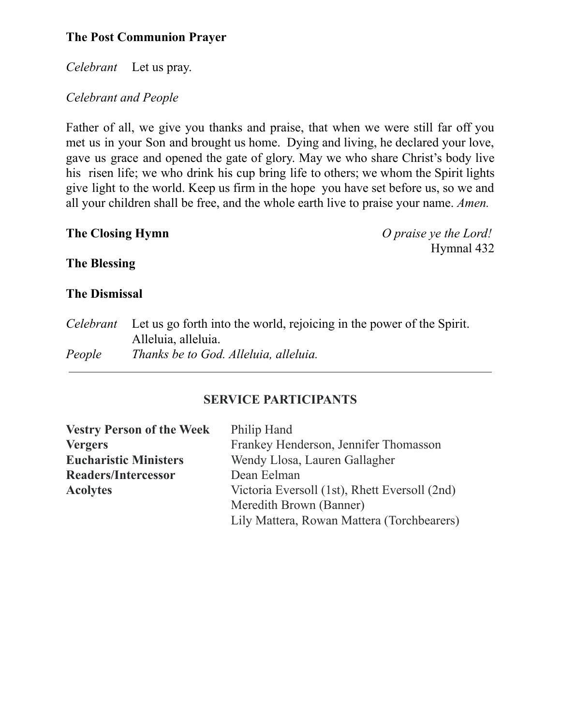#### **The Post Communion Prayer**

*Celebrant* Let us pray.

#### *Celebrant and People*

Father of all, we give you thanks and praise, that when we were still far off you met us in your Son and brought us home. Dying and living, he declared your love, gave us grace and opened the gate of glory. May we who share Christ's body live his risen life; we who drink his cup bring life to others; we whom the Spirit lights give light to the world. Keep us firm in the hope you have set before us, so we and all your children shall be free, and the whole earth live to praise your name. *Amen.*

**The Closing Hymn** *O praise ye the Lord!* Hymnal 432

### **The Blessing**

#### **The Dismissal**

*Celebrant* Let us go forth into the world, rejoicing in the power of the Spirit. Alleluia, alleluia. *People Thanks be to God. Alleluia, alleluia.*

### **SERVICE PARTICIPANTS**

| <b>Vestry Person of the Week</b> | Philip Hand                                   |
|----------------------------------|-----------------------------------------------|
| <b>Vergers</b>                   | Frankey Henderson, Jennifer Thomasson         |
| <b>Eucharistic Ministers</b>     | Wendy Llosa, Lauren Gallagher                 |
| <b>Readers/Intercessor</b>       | Dean Eelman                                   |
| <b>Acolytes</b>                  | Victoria Eversoll (1st), Rhett Eversoll (2nd) |
|                                  | Meredith Brown (Banner)                       |
|                                  | Lily Mattera, Rowan Mattera (Torchbearers)    |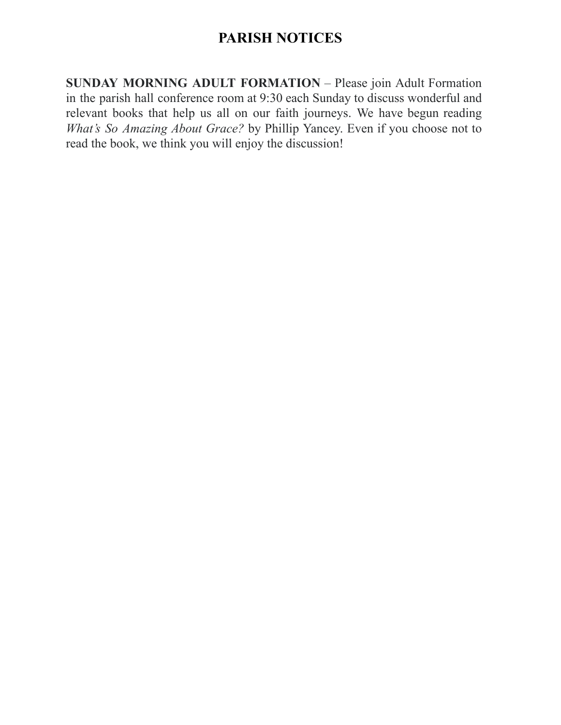## **PARISH NOTICES**

**SUNDAY MORNING ADULT FORMATION** – Please join Adult Formation in the parish hall conference room at 9:30 each Sunday to discuss wonderful and relevant books that help us all on our faith journeys. We have begun reading *What's So Amazing About Grace?* by Phillip Yancey. Even if you choose not to read the book, we think you will enjoy the discussion!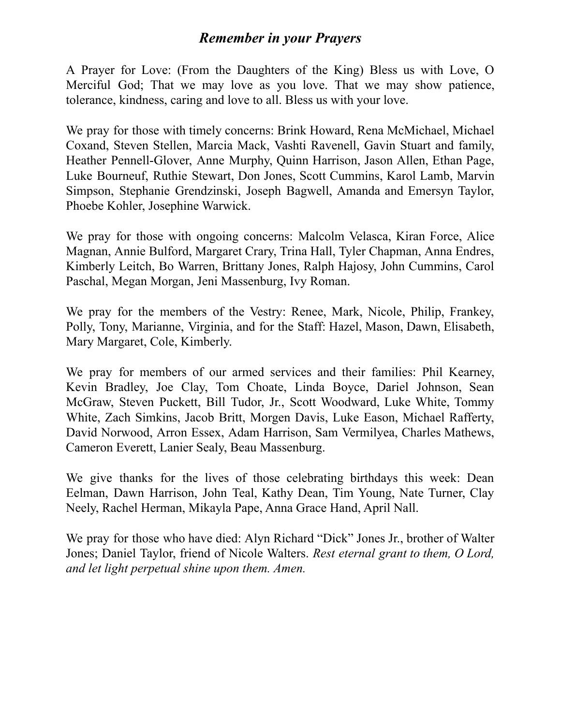## *Remember in your Prayers*

A Prayer for Love: (From the Daughters of the King) Bless us with Love, O Merciful God; That we may love as you love. That we may show patience, tolerance, kindness, caring and love to all. Bless us with your love.

We pray for those with timely concerns: Brink Howard, Rena McMichael, Michael Coxand, Steven Stellen, Marcia Mack, Vashti Ravenell, Gavin Stuart and family, Heather Pennell-Glover, Anne Murphy, Quinn Harrison, Jason Allen, Ethan Page, Luke Bourneuf, Ruthie Stewart, Don Jones, Scott Cummins, Karol Lamb, Marvin Simpson, Stephanie Grendzinski, Joseph Bagwell, Amanda and Emersyn Taylor, Phoebe Kohler, Josephine Warwick.

We pray for those with ongoing concerns: Malcolm Velasca, Kiran Force, Alice Magnan, Annie Bulford, Margaret Crary, Trina Hall, Tyler Chapman, Anna Endres, Kimberly Leitch, Bo Warren, Brittany Jones, Ralph Hajosy, John Cummins, Carol Paschal, Megan Morgan, Jeni Massenburg, Ivy Roman.

We pray for the members of the Vestry: Renee, Mark, Nicole, Philip, Frankey, Polly, Tony, Marianne, Virginia, and for the Staff: Hazel, Mason, Dawn, Elisabeth, Mary Margaret, Cole, Kimberly.

We pray for members of our armed services and their families: Phil Kearney, Kevin Bradley, Joe Clay, Tom Choate, Linda Boyce, Dariel Johnson, Sean McGraw, Steven Puckett, Bill Tudor, Jr., Scott Woodward, Luke White, Tommy White, Zach Simkins, Jacob Britt, Morgen Davis, Luke Eason, Michael Rafferty, David Norwood, Arron Essex, Adam Harrison, Sam Vermilyea, Charles Mathews, Cameron Everett, Lanier Sealy, Beau Massenburg.

We give thanks for the lives of those celebrating birthdays this week: Dean Eelman, Dawn Harrison, John Teal, Kathy Dean, Tim Young, Nate Turner, Clay Neely, Rachel Herman, Mikayla Pape, Anna Grace Hand, April Nall.

We pray for those who have died: Alyn Richard "Dick" Jones Jr., brother of Walter Jones; Daniel Taylor, friend of Nicole Walters. *Rest eternal grant to them, O Lord, and let light perpetual shine upon them. Amen.*